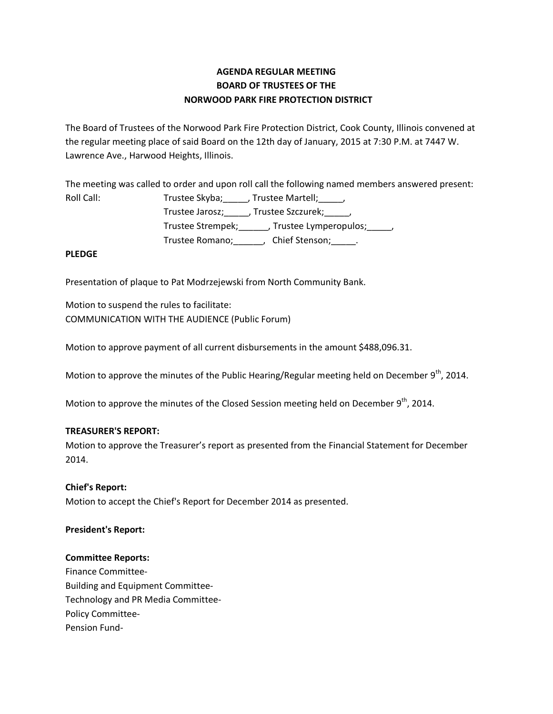# **AGENDA REGULAR MEETING BOARD OF TRUSTEES OF THE NORWOOD PARK FIRE PROTECTION DISTRICT**

The Board of Trustees of the Norwood Park Fire Protection District, Cook County, Illinois convened at the regular meeting place of said Board on the 12th day of January, 2015 at 7:30 P.M. at 7447 W. Lawrence Ave., Harwood Heights, Illinois.

The meeting was called to order and upon roll call the following named members answered present: Roll Call: Trustee Skyba; \_\_\_\_, Trustee Martell; \_\_\_\_,

Trustee Jarosz;\_\_\_\_\_, Trustee Szczurek;\_\_\_\_\_, Trustee Strempek;\_\_\_\_\_\_, Trustee Lymperopulos;\_\_\_\_\_, Trustee Romano;\_\_\_\_\_\_, Chief Stenson;\_\_\_\_\_.

### **PLEDGE**

Presentation of plaque to Pat Modrzejewski from North Community Bank.

Motion to suspend the rules to facilitate: COMMUNICATION WITH THE AUDIENCE (Public Forum)

Motion to approve payment of all current disbursements in the amount \$488,096.31.

Motion to approve the minutes of the Public Hearing/Regular meeting held on December  $9<sup>th</sup>$ , 2014.

Motion to approve the minutes of the Closed Session meeting held on December 9<sup>th</sup>, 2014.

## **TREASURER'S REPORT:**

Motion to approve the Treasurer's report as presented from the Financial Statement for December 2014.

## **Chief's Report:**

Motion to accept the Chief's Report for December 2014 as presented.

#### **President's Report:**

#### **Committee Reports:**

Finance Committee-Building and Equipment Committee-Technology and PR Media Committee-Policy Committee-Pension Fund-